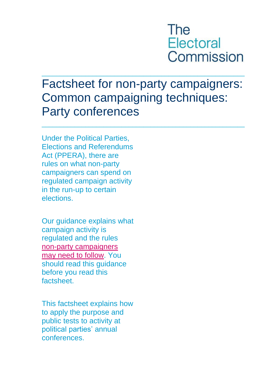# The **Electoral** Commission

# Factsheet for non-party campaigners: Common campaigning techniques: Party conferences

\_\_\_\_\_\_\_\_\_\_\_\_\_\_\_\_\_\_\_\_\_\_\_\_\_\_\_\_\_\_\_\_\_\_\_\_\_\_\_\_\_\_\_\_\_\_\_\_\_\_\_\_\_\_\_\_

 $\_$  , and the set of the set of the set of the set of the set of the set of the set of the set of the set of the set of the set of the set of the set of the set of the set of the set of the set of the set of the set of th

Under the Political Parties, Elections and Referendums Act (PPERA), there are rules on what non-party campaigners can spend on regulated campaign activity in the run-up to certain elections.

Our guidance explains what campaign activity is regulated and the rules [non-party campaigners](http://www.electoralcommission.org.uk/i-am-a/party-or-campaigner/non-party-campaigners)  [may need to follow.](http://www.electoralcommission.org.uk/i-am-a/party-or-campaigner/non-party-campaigners) You should read this guidance before you read this factsheet.

This factsheet explains how to apply the purpose and public tests to activity at political parties' annual conferences.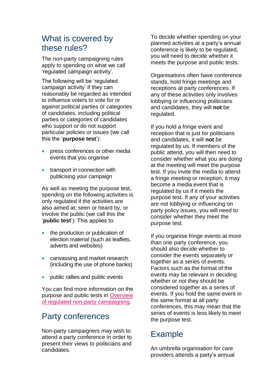# What is covered by these rules?

The non-party campaigning rules apply to spending on what we call 'regulated campaign activity'.

The following will be 'regulated campaign activity' if they can reasonably be regarded as intended to influence voters to vote for or against political parties or categories of candidates, including political parties or categories of candidates who support or do not support particular policies or issues (we call this the '**purpose test**'):

- press conferences or other media events that you organise
- transport in connection with publicising your campaign

As well as meeting the purpose test, spending on the following activities is only regulated if the activities are also aimed at, seen or heard by, or involve the public (we call this the '**public test**'): This applies to:

- the production or publication of election material (such as leaflets, adverts and websites)
- canvassing and market research (including the use of phone banks)
- public rallies and public events

You can find more information on the purpose and public tests in [Overview](https://www.electoralcommission.org.uk/media/4090)  [of regulated non-party campaigning.](https://www.electoralcommission.org.uk/media/4090)

# Party conferences

Non-party campaigners may wish to attend a party conference in order to present their views to politicians and candidates.

To decide whether spending on your planned activities at a party's annual conference is likely to be regulated, you will need to decide whether it meets the purpose and public tests.

Organisations often have conference stands, hold fringe meetings and receptions at party conferences. If any of these activities only involves lobbying or influencing politicians and candidates, they will **not** be regulated.

If you hold a fringe event and reception that is just for politicians and candidates, it will **not** be regulated by us. If members of the public attend, you will then need to consider whether what you are doing at the meeting will meet the purpose test. If you invite the media to attend a fringe meeting or reception, it may become a media event that is regulated by us if it meets the purpose test. If any of your activities are not lobbying or influencing on party policy issues, you will need to consider whether they meet the purpose test.

If you organise fringe events at more than one party conference, you should also decide whether to consider the events separately or together as a series of events. Factors such as the format of the events may be relevant in deciding whether or not they should be considered together as a series of events. If you hold the same event in the same format at all party conferences, this may mean that the series of events is less likely to meet the purpose test.

# Example

An umbrella organisation for care providers attends a party's annual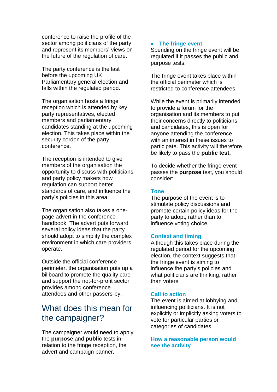conference to raise the profile of the sector among politicians of the party and represent its members' views on the future of the regulation of care.

The party conference is the last before the upcoming UK Parliamentary general election and falls within the regulated period.

The organisation hosts a fringe reception which is attended by key party representatives, elected members and parliamentary candidates standing at the upcoming election. This takes place within the security cordon of the party conference.

The reception is intended to give members of the organisation the opportunity to discuss with politicians and party policy makers how regulation can support better standards of care, and influence the party's policies in this area.

The organisation also takes a onepage advert in the conference handbook. The advert puts forward several policy ideas that the party should adopt to simplify the complex environment in which care providers operate.

Outside the official conference perimeter, the organisation puts up a billboard to promote the quality care and support the not-for-profit sector provides among conference attendees and other passers-by.

# What does this mean for the campaigner?

The campaigner would need to apply the **purpose** and **public** tests in relation to the fringe reception, the advert and campaign banner.

# **The fringe event**

Spending on the fringe event will be regulated if it passes the public and purpose tests.

The fringe event takes place within the official perimeter which is restricted to conference attendees.

While the event is primarily intended to provide a forum for the organisation and its members to put their concerns directly to politicians and candidates, this is open for anyone attending the conference with an interest in these issues to participate. This activity will therefore be likely to pass the **public test.**

To decide whether the fringe event passes the **purpose** test, you should consider:

# **Tone**

The purpose of the event is to stimulate policy discussions and promote certain policy ideas for the party to adopt, rather than to influence voting choice.

## **Context and timing**

Although this takes place during the regulated period for the upcoming election, the context suggests that the fringe event is aiming to influence the party's policies and what politicians are thinking, rather than voters.

## **Call to action**

The event is aimed at lobbying and influencing politicians. It is not explicitly or implicitly asking voters to vote for particular parties or categories of candidates.

# **How a reasonable person would see the activity**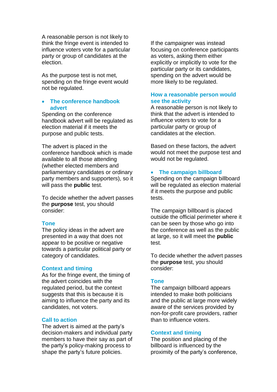A reasonable person is not likely to think the fringe event is intended to influence voters vote for a particular party or group of candidates at the election.

As the purpose test is not met, spending on the fringe event would not be regulated.

# **The conference handbook advert**

Spending on the conference handbook advert will be regulated as election material if it meets the purpose and public tests.

The advert is placed in the conference handbook which is made available to all those attending (whether elected members and parliamentary candidates or ordinary party members and supporters), so it will pass the **public** test.

To decide whether the advert passes the **purpose** test, you should consider:

#### **Tone**

The policy ideas in the advert are presented in a way that does not appear to be positive or negative towards a particular political party or category of candidates.

## **Context and timing**

As for the fringe event, the timing of the advert coincides with the regulated period, but the context suggests that this is because it is aiming to influence the party and its candidates, not voters.

## **Call to action**

The advert is aimed at the party's decision-makers and individual party members to have their say as part of the party's policy-making process to shape the party's future policies.

If the campaigner was instead focusing on conference participants as voters, asking them either explicitly or implicitly to vote for the particular party or its candidates, spending on the advert would be more likely to be regulated.

# **How a reasonable person would see the activity**

A reasonable person is not likely to think that the advert is intended to influence voters to vote for a particular party or group of candidates at the election.

Based on these factors, the advert would not meet the purpose test and would not be regulated.

#### **The campaign billboard**

Spending on the campaign billboard will be regulated as election material if it meets the purpose and public tests.

The campaign billboard is placed outside the official perimeter where it can be seen by those who go into the conference as well as the public at large, so it will meet the **public** test.

To decide whether the advert passes the **purpose** test, you should consider:

#### **Tone**

The campaign billboard appears intended to make both politicians and the public at large more widely aware of the services provided by non-for-profit care providers, rather than to influence voters.

#### **Context and timing**

The position and placing of the billboard is influenced by the proximity of the party's conference,